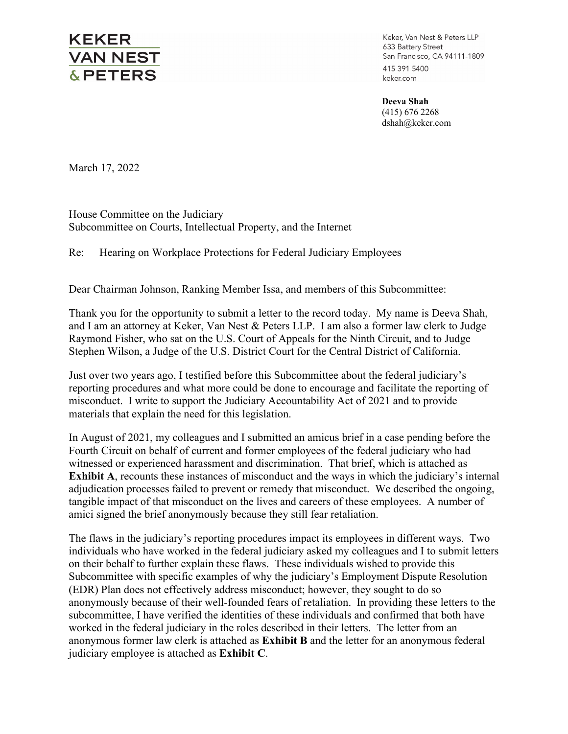## **KEKER VAN NEST &PETERS**

Keker, Van Nest & Peters LLP 633 Battery Street San Francisco, CA 94111-1809 415 391 5400 keker.com

**Deeva Shah**  (415) 676 2268 dshah@keker.com

March 17, 2022

House Committee on the Judiciary Subcommittee on Courts, Intellectual Property, and the Internet

Re: Hearing on Workplace Protections for Federal Judiciary Employees

Dear Chairman Johnson, Ranking Member Issa, and members of this Subcommittee:

Thank you for the opportunity to submit a letter to the record today. My name is Deeva Shah, and I am an attorney at Keker, Van Nest & Peters LLP. I am also a former law clerk to Judge Raymond Fisher, who sat on the U.S. Court of Appeals for the Ninth Circuit, and to Judge Stephen Wilson, a Judge of the U.S. District Court for the Central District of California.

Just over two years ago, I testified before this Subcommittee about the federal judiciary's reporting procedures and what more could be done to encourage and facilitate the reporting of misconduct. I write to support the Judiciary Accountability Act of 2021 and to provide materials that explain the need for this legislation.

In August of 2021, my colleagues and I submitted an amicus brief in a case pending before the Fourth Circuit on behalf of current and former employees of the federal judiciary who had witnessed or experienced harassment and discrimination. That brief, which is attached as **Exhibit A**, recounts these instances of misconduct and the ways in which the judiciary's internal adjudication processes failed to prevent or remedy that misconduct. We described the ongoing, tangible impact of that misconduct on the lives and careers of these employees. A number of amici signed the brief anonymously because they still fear retaliation.

The flaws in the judiciary's reporting procedures impact its employees in different ways. Two individuals who have worked in the federal judiciary asked my colleagues and I to submit letters on their behalf to further explain these flaws. These individuals wished to provide this Subcommittee with specific examples of why the judiciary's Employment Dispute Resolution (EDR) Plan does not effectively address misconduct; however, they sought to do so anonymously because of their well-founded fears of retaliation. In providing these letters to the subcommittee, I have verified the identities of these individuals and confirmed that both have worked in the federal judiciary in the roles described in their letters. The letter from an anonymous former law clerk is attached as **Exhibit B** and the letter for an anonymous federal judiciary employee is attached as **Exhibit C**.